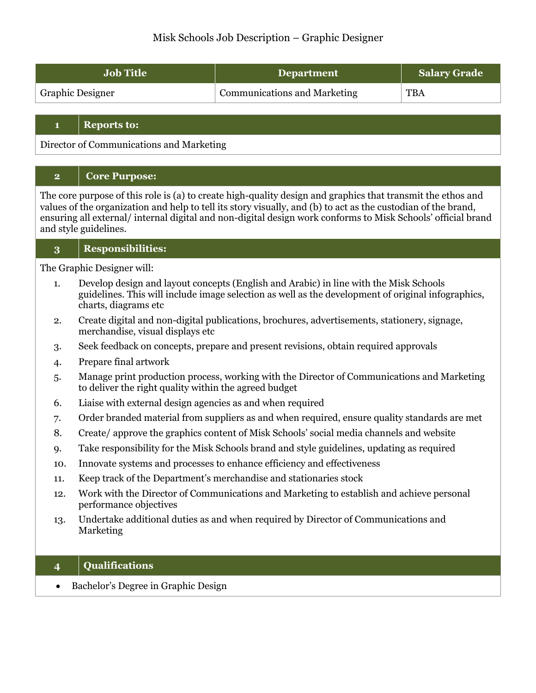# Misk Schools Job Description – Graphic Designer

| <b>Job Title</b>        | Department                          | <b>Salary Grade</b> |
|-------------------------|-------------------------------------|---------------------|
| <b>Graphic Designer</b> | <b>Communications and Marketing</b> | <b>TBA</b>          |

#### **1 Reports to:**

Director of Communications and Marketing

### **2 Core Purpose:**

The core purpose of this role is (a) to create high-quality design and graphics that transmit the ethos and values of the organization and help to tell its story visually, and (b) to act as the custodian of the brand, ensuring all external/ internal digital and non-digital design work conforms to Misk Schools' official brand and style guidelines.

### **3 Responsibilities:**

The Graphic Designer will:

- 1. Develop design and layout concepts (English and Arabic) in line with the Misk Schools guidelines. This will include image selection as well as the development of original infographics, charts, diagrams etc
- 2. Create digital and non-digital publications, brochures, advertisements, stationery, signage, merchandise, visual displays etc
- 3. Seek feedback on concepts, prepare and present revisions, obtain required approvals
- 4. Prepare final artwork
- 5. Manage print production process, working with the Director of Communications and Marketing to deliver the right quality within the agreed budget
- 6. Liaise with external design agencies as and when required
- 7. Order branded material from suppliers as and when required, ensure quality standards are met
- 8. Create/ approve the graphics content of Misk Schools' social media channels and website
- 9. Take responsibility for the Misk Schools brand and style guidelines, updating as required
- 10. Innovate systems and processes to enhance efficiency and effectiveness
- 11. Keep track of the Department's merchandise and stationaries stock
- 12. Work with the Director of Communications and Marketing to establish and achieve personal performance objectives
- 13. Undertake additional duties as and when required by Director of Communications and Marketing

### **4 Qualifications**

• Bachelor's Degree in Graphic Design